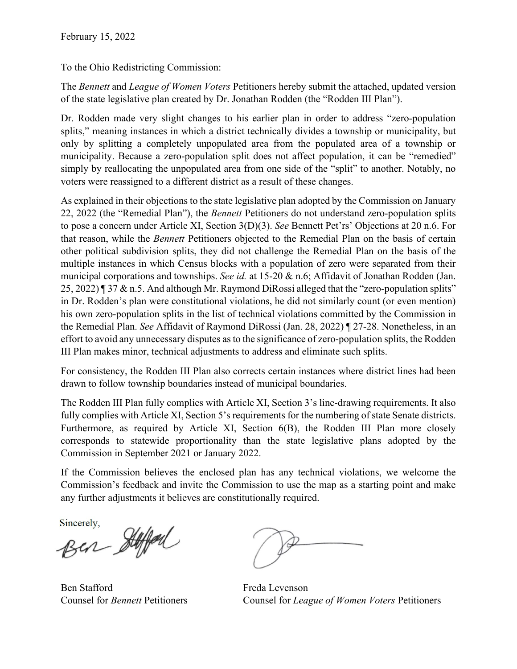To the Ohio Redistricting Commission:

The *Bennett* and *League of Women Voters* Petitioners hereby submit the attached, updated version of the state legislative plan created by Dr. Jonathan Rodden (the "Rodden III Plan").

Dr. Rodden made very slight changes to his earlier plan in order to address "zero-population splits," meaning instances in which a district technically divides a township or municipality, but only by splitting a completely unpopulated area from the populated area of a township or municipality. Because a zero-population split does not affect population, it can be "remedied" simply by reallocating the unpopulated area from one side of the "split" to another. Notably, no voters were reassigned to a different district as a result of these changes.

As explained in their objections to the state legislative plan adopted by the Commission on January 22, 2022 (the "Remedial Plan"), the *Bennett* Petitioners do not understand zero-population splits to pose a concern under Article XI, Section 3(D)(3). *See* Bennett Pet'rs' Objections at 20 n.6. For that reason, while the *Bennett* Petitioners objected to the Remedial Plan on the basis of certain other political subdivision splits, they did not challenge the Remedial Plan on the basis of the multiple instances in which Census blocks with a population of zero were separated from their municipal corporations and townships. *See id.* at 15-20 & n.6; Affidavit of Jonathan Rodden (Jan. 25, 2022) ¶ 37 & n.5. And although Mr. Raymond DiRossi alleged that the "zero-population splits" in Dr. Rodden's plan were constitutional violations, he did not similarly count (or even mention) his own zero-population splits in the list of technical violations committed by the Commission in the Remedial Plan. *See* Affidavit of Raymond DiRossi (Jan. 28, 2022) ¶ 27-28. Nonetheless, in an effort to avoid any unnecessary disputes as to the significance of zero-population splits, the Rodden III Plan makes minor, technical adjustments to address and eliminate such splits.

For consistency, the Rodden III Plan also corrects certain instances where district lines had been drawn to follow township boundaries instead of municipal boundaries.

The Rodden III Plan fully complies with Article XI, Section 3's line-drawing requirements. It also fully complies with Article XI, Section 5's requirements for the numbering of state Senate districts. Furthermore, as required by Article XI, Section 6(B), the Rodden III Plan more closely corresponds to statewide proportionality than the state legislative plans adopted by the Commission in September 2021 or January 2022.

If the Commission believes the enclosed plan has any technical violations, we welcome the Commission's feedback and invite the Commission to use the map as a starting point and make any further adjustments it believes are constitutionally required.

Sincerely,

Ben Stiffed

Ben Stafford Freda Levenson

Counsel for *Bennett* Petitioners Counsel for *League of Women Voters* Petitioners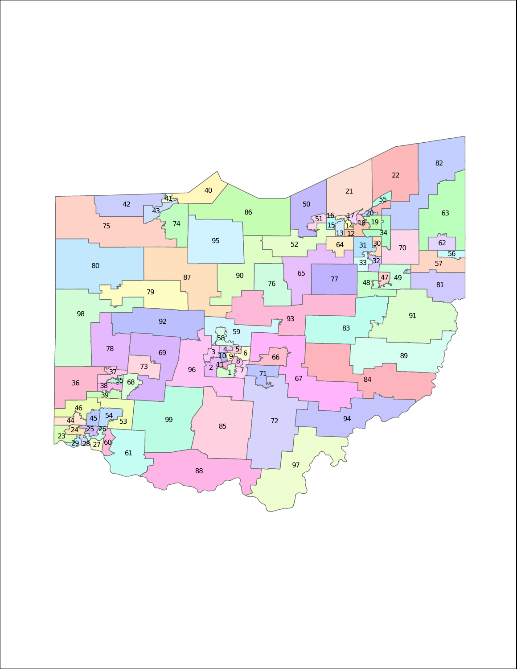